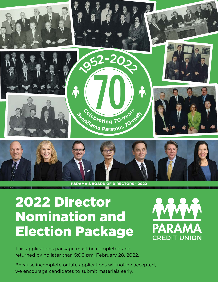

#### PARAMA'S BOARD OF DIRECTORS - 2022

# 2022 Director Nomination and Election Package



This applications package must be completed and returned by no later than 5:00 pm, February 28, 2022.

Because incomplete or late applications will not be accepted, we encourage candidates to submit materials early.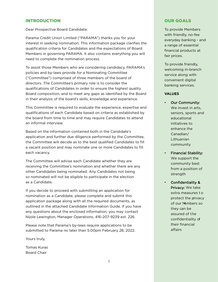# INTRODUCTION

Dear Prospective Board Candidate:

Parama Credit Union Limited ("PARAMA") thanks you for your interest in seeking nomination. This information package clarifies the qualification criteria for Candidates and the expectations of Board Members in governing PARAMA. It also contains everything you will need to complete the nomination process.

To assist those Members who are considering candidacy, PARAMA's policies and by-laws provide for a Nominating Committee ("Committee") comprised of three members of the board of directors. The Committee's primary role is to consider the qualifications of Candidates in order to ensure the highest quality Board composition, and to meet any gaps as identified by the Board in their analysis of the board's skills, knowledge and experience.

This Committee is required to evaluate the experience, expertise and qualifications of each Candidate based on criteria as established by the board from time to time and may require Candidates to attend an informal interview.

Based on the information contained both in the Candidate's application and further due diligence performed by the Committee, the Committee will decide as to the best qualified Candidates to fill a vacant position and may nominate one or more Candidates to fill each vacancy.

The Committee will advise each Candidate whether they are receiving the Committee's nomination and whether there are any other Candidates being nominated. Any Candidates not being so nominated will not be eligible to participate in the election as a Candidate.

If you decide to proceed with submitting an application for nomination as a Candidate, please complete and submit this application package along with all the required documents, as outlined in the attached Candidate Information Guide. If you have any questions about the enclosed information, you may contact Nijole Lewington, Manager Operations, 416-207-9239 ext. 226.

Please note that Parama's by-laws require applications to be submitted to Parama no later than 5:00pm February 28, 2022.

Yours truly,

Tomas Kuras Board Chair

# OUR GOALS

To provide Members with friendly, no-fee everyday banking - and a range of essential financial products at fair prices.

To provide friendly, welcoming in-branch service along with convenient digital banking services.

#### **VALUES**

- Our Community: We invest in arts, seniors, sports and educational initiatives to enhance the Canadian/ **Lithuanian** community
- Financial Stability: We support the community best from a position of strength
	- Confidentiality & Privacy: We take extra measures t o protect the privacy of our Members so they can be assured of the confidentiality of their financial affairs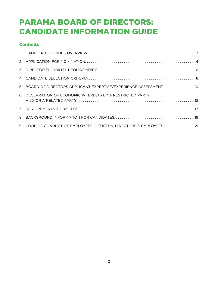# PARAMA BOARD OF DIRECTORS: CANDIDATE INFORMATION GUIDE

# **Contents**

| 5. BOARD OF DIRECTORS APPLICANT EXPERTISE/EXPERIENCE ASSESSMENT  10 |
|---------------------------------------------------------------------|
| 6. DECLARATION OF ECONOMIC INTERESTS BY A RESTRICTED PARTY          |
|                                                                     |
|                                                                     |
| 9. CODE OF CONDUCT OF EMPLOYEES, OFFICERS, DIRECTORS & EMPLOYEES 21 |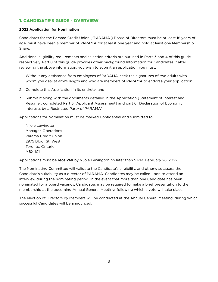# 1. CANDIDATE'S GUIDE - OVERVIEW

# **2022 Application for Nomination**

Candidates for the Parama Credit Union ("PARAMA") Board of Directors must be at least 18 years of age, must have been a member of PARAMA for at least one year and hold at least one Membership Share.

Additional eligibility requirements and selection criteria are outlined in Parts 3 and 4 of this guide respectively. Part 8 of this guide provides other background Information for Candidates If after reviewing the above information, you wish to submit an application you must:

- 1. Without any assistance from employees of PARAMA, seek the signatures of two adults with whom you deal at arm's length and who are members of PARAMA to endorse your application.
- 2. Complete this Application in its entirety; and
- 3. Submit it along with the documents detailed in the Application [Statement of Interest and Resume], completed Part 5 [Applicant Assessment] and part 6 [Declaration of Economic Interests by a Restricted Party of PARAMA].

Applications for Nomination must be marked Confidential and submitted to:

Nijole Lewington Manager, Operations Parama Credit Union 2975 Bloor St. West Toronto, Ontario M8X 1C1

Applications must be **received** by Nijole Lewington no later than 5 P.M. February 28, 2022.

The Nominating Committee will validate the Candidate's eligibility, and otherwise assess the Candidate's suitability as a director of PARAMA. Candidates may be called upon to attend an interview during the nominating period. In the event that more than one Candidate has been nominated for a board vacancy, Candidates may be required to make a brief presentation to the membership at the upcoming Annual General Meeting, following which a vote will take place.

The election of Directors by Members will be conducted at the Annual General Meeting, during which successful Candidates will be announced.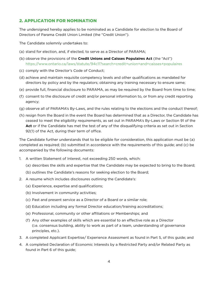# 2. APPLICATION FOR NOMINATION

The undersigned hereby applies to be nominated as a Candidate for election to the Board of Directors of Parama Credit Union Limited (the "Credit Union").

The Candidate solemnly undertakes to:

- (a) stand for election, and, if elected, to serve as a Director of PARAMA;
- (b) observe the provisions of the **Credit Unions and Caisses Populaires Act** (the "Act") <https://www.ontario.ca/laws/statute/94c11?search=credit+union+and+caisses+populaires>
- (c) comply with the Director's Code of Conduct;
- (d) achieve and maintain requisite competency levels and other qualifications as mandated for directors by policy and by the regulators; obtaining any training necessary to ensure same;
- (e) provide full, financial disclosure to PARAMA, as may be required by the Board from time to time;
- (f) consent to the disclosure of credit and/or personal information to, or from any credit reporting agency;
- (g) observe all of PARAMA's By-Laws, and the rules relating to the elections and the conduct thereof;
- (h) resign from the Board in the event the Board has determined that as a Director, the Candidate has ceased to meet the eligibility requirements, as set out in PARAMA's By-Laws or Section 91 of the **Act** or if the Candidate has met the test of any of the disqualifying criteria as set out in Section 92(1) of the Act, during their term of office.

The Candidate further understands that to be eligible for consideration, this application must be (a) completed as required; (b) submitted in accordance with the requirements of this guide; and (c) be accompanied by the following documents:

- 1. A written Statement of Interest, not exceeding 250 words, which:
	- (a) describes the skills and expertise that the Candidate may be expected to bring to the Board;
	- (b) outlines the Candidate's reasons for seeking election to the Board;
- 2. A resume which includes disclosures outlining the Candidate's:
	- (a) Experience, expertise and qualifications;
	- (b) Involvement in community activities;
	- (c) Past and present service as a Director of a Board or a similar role;
	- (d) Education including any formal Director education/training accreditations;
	- (e) Professional, community or other affiliations or Memberships; and
	- (f) Any other examples of skills which are essential to an effective role as a Director (i.e. consensus building, ability to work as part of a team, understanding of governance principles, etc.).
- 3. A completed Applicant Expertise/ Experience Assessment as found in Part 5, of this guide; and
- 4. A completed Declaration of Economic Interests by a Restricted Party and/or Related Party as found in Part 6 of this guide;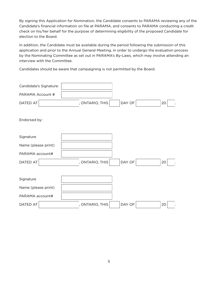By signing this Application for Nomination, the Candidate consents to PARAMA reviewing any of the Candidate's financial information on file at PARAMA, and consents to PARAMA conducting a credit check on his/her behalf for the purpose of determining eligibility of the proposed Candidate for election to the Board.

In addition, the Candidate must be available during the period following the submission of this application and prior to the Annual General Meeting, in order to undergo the evaluation process by the Nominating Committee as set out in PARAMA's By-Laws, which may involve attending an interview with the Committee.

Candidates should be aware that campaigning is not permitted by the Board.

| Candidate's Signature: |               |        |    |
|------------------------|---------------|--------|----|
| PARAMA Account #       |               |        |    |
| DATED AT               | ONTARIO, THIS | DAY OF | 20 |
| Endorsed by:           |               |        |    |
| Signature              |               |        |    |
| Name (please print)    |               |        |    |
| PARAMA account#        |               |        |    |
| DATED AT               | ONTARIO, THIS | DAY OF | 20 |
|                        |               |        |    |
| Signature              |               |        |    |
| Name (please print)    |               |        |    |
| PARAMA account#        |               |        |    |
| DATED AT               | ONTARIO, THIS | DAY OF | 20 |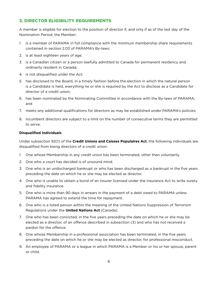# 3. DIRECTOR ELIGIBILITY REQUIREMENTS

A member is eligible for election to the position of director if, and only if as of the last day of the Nomination Period, the Member:

- 1. is a member of PARAMA in full compliance with the minimum membership share requirements contained in section 2.03 of PARAMA's By-laws;
- 2. is at least eighteen years of age;
- 3. is a Canadian citizen or a person lawfully admitted to Canada for permanent residency and ordinarily resident in Canada;
- 4. is not disqualified under the Act;
- 5. has disclosed to the Board, in a timely fashion before the election in which the natural person is a Candidate is held, everything he or she is required by the Act to disclose as a Candidate for director of a credit union;
- 6. has been nominated by the Nominating Committee in accordance with the By-laws of PARAMA; and
- 7. meets any additional qualifications for directors as may be established under PARAMA's policies;
- 8. incumbent directors are subject to a limit on the number of consecutive terms they are permitted to serve.

#### **Disqualified Individuals**

Under subsection 92(1) of the **Credit Unions and Caisses Populaires Act**, the following individuals are disqualified from being directors of a credit union:

- 1. One whose Membership in any credit union has been terminated, other than voluntarily.
- 2. One who a court has decided is of unsound mind.
- 3. One who is an undischarged bankrupt or who has been discharged as a bankrupt in the five years preceding the date on which he or she may be elected as director.
- 4. One who is unable to obtain a bond of an insurer licensed under the Insurance Act to write surety and fidelity insurance.
- 5. One who is more than 90 days in arrears in the payment of a debt owed to PARAMA unless PARAMA has agreed to extend the time for repayment.
- 6. One who is a listed person within the meaning of the United Nations Suppression of Terrorism Regulations under the **United Nations Act** (Canada).
- 7. One who has been convicted, in the five years preceding the date on which he or she may be elected as a director, of an offence described in subsection (3) and who has not received a pardon for the offence.
- 8. One whose Membership in a professional association has been terminated, in the five years preceding the date on which he or she may be elected as director, for professional misconduct.
- 9. An employee of PARAMA or a league in which PARAMA is a Member or his or her spouse, parent or child.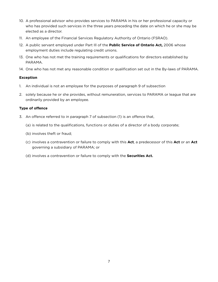- 10. A professional advisor who provides services to PARAMA in his or her professional capacity or who has provided such services in the three years preceding the date on which he or she may be elected as a director.
- 11. An employee of the Financial Services Regulatory Authority of Ontario (FSRAO).
- 12. A public servant employed under Part Ill of the **Public Service of Ontario Act,** 2006 whose employment duties include regulating credit unions.
- 13. One who has not met the training requirements or qualifications for directors established by PARAMA.
- 14. One who has not met any reasonable condition or qualification set out in the By-laws of PARAMA.

# **Exception**

- 1. An individual is not an employee for the purposes of paragraph 9 of subsection
- 2. solely because he or she provides, without remuneration, services to PARAMA or league that are ordinarily provided by an employee.

# **Type of offence**

- 3. An offence referred to in paragraph 7 of subsection (1) is an offence that,
	- (a) is related to the qualifications, functions or duties of a director of a body corporate;
	- (b) involves theft or fraud;
	- (c) involves a contravention or failure to comply with this **Act**, a predecessor of this **Act** or an **Act** governing a subsidiary of PARAMA; or
	- (d) involves a contravention or failure to comply with the **Securities Act.**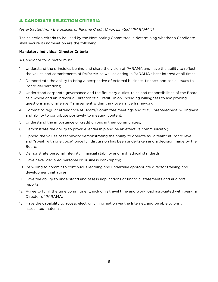# 4. CANDIDATE SELECTION CRITERIA

# *(as extracted from the policies of Parama Credit Union Limited ("PARAMA"))*

The selection criteria to be used by the Nominating Committee in determining whether a Candidate shall secure its nomination are the following:

#### **Mandatory Individual Director Criteria**

A Candidate for director must

- 1. Understand the principles behind and share the vision of PARAMA and have the ability to reflect the values and commitments of PARAMA as well as acting in PARAMA's best interest at all times;
- 2. Demonstrate the ability to bring a perspective of external business, finance, and social issues to Board deliberations;
- 3. Understand corporate governance and the fiduciary duties, roles and responsibilities of the Board as a whole and an individual Director of a Credit Union, including willingness to ask probing questions and challenge Management within the governance framework;
- 4. Commit to regular attendance at Board/Committee meetings and to full preparedness, willingness and ability to contribute positively to meeting content;
- 5. Understand the importance of credit unions in their communities;
- 6. Demonstrate the ability to provide leadership and be an effective communicator;
- 7. Uphold the values of teamwork demonstrating the ability to operate as "a team" at Board level and "speak with one voice" once full discussion has been undertaken and a decision made by the Board;
- 8. Demonstrate personal integrity, financial stability and high ethical standards;
- 9. Have never declared personal or business bankruptcy;
- 10. Be willing to commit to continuous learning and undertake appropriate director training and development initiatives;
- 11. Have the ability to understand and assess implications of financial statements and auditors reports;
- 12. Agree to fulfill the time commitment, including travel time and work load associated with being a Director of PARAMA;
- 13. Have the capability to access electronic information via the Internet, and be able to print associated materials.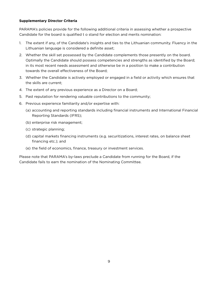# **Supplementary Director Criteria**

PARAMA's policies provide for the following additional criteria in assessing whether a prospective Candidate for the board is qualified t o stand for election and merits nomination:

- 1. The extent if any, of the Candidate's insights and ties to the Lithuanian community. Fluency in the Lithuanian language is considered a definite asset;
- 2. Whether the skill set possessed by the Candidate complements those presently on the board. Optimally the Candidate should possess competencies and strengths as identified by the Board; in its most recent needs assessment and otherwise be in a position to make a contribution towards the overall effectiveness of the Board;
- 3. Whether the Candidate is actively employed or engaged in a field or activity which ensures that the skills are current;
- 4. The extent of any previous experience as a Director on a Board;
- 5. Past reputation for rendering valuable contributions to the community;
- 6. Previous experience familiarity and/or expertise with:
	- (a) accounting and reporting standards including financial instruments and International Financial Reporting Standards (IFRS);
	- (b) enterprise risk management;
	- (c) strategic planning;
	- (d) capital markets financing instruments (e.g. securitizations, interest rates, on balance sheet financing etc.); and
	- (e) the field of economics, finance, treasury or investment services.

Please note that PARAMA's by-laws preclude a Candidate from running for the Board, if the Candidate fails to earn the nomination of the Nominating Committee.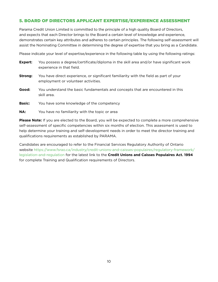# 5. BOARD OF DIRECTORS APPLICANT EXPERTISE/EXPERIENCE ASSESSMENT

Parama Credit Union Limited is committed to the principle of a high quality Board of Directors, and expects that each Director brings to the Board a certain level of knowledge and experience, demonstrates certain key attributes and adheres to certain principles. The following self-assessment will assist the Nominating Committee in determining the degree of expertise that you bring as a Candidate.

Please indicate your level of expertise/experience in the following table by using the following ratings:

| Expert:       | You possess a degree/certificate/diploma in the skill area and/or have significant work<br>experience in that field.         |
|---------------|------------------------------------------------------------------------------------------------------------------------------|
| Strong:       | You have direct experience, or significant familiarity with the field as part of your<br>employment or volunteer activities. |
| Good:         | You understand the basic fundamentals and concepts that are encountered in this<br>skill area.                               |
| <b>Basic:</b> | You have some knowledge of the competency                                                                                    |
| NA:           | You have no familiarity with the topic or area                                                                               |

**Please Note:** If you are elected to the Board, you will be expected to complete a more comprehensive self-assessment of specific competencies within six months of election. This assessment is used to help determine your training and self-development needs in order to meet the director training and qualifications requirements as established by PARAMA.

Candidates are encouraged to refer to the Financial Services Regulatory Authority of Ontario website [https://www.fsrao.ca/industry/credit-unions-and-caisses-populaires/regulatory-framework/](https://www.fsrao.ca/industry/credit-unions-and-caisses-populaires/regulatory-framework/legislation-and-regulation) [legislation-and-regulation](https://www.fsrao.ca/industry/credit-unions-and-caisses-populaires/regulatory-framework/legislation-and-regulation) for the latest link to the **Credit Unions and Caisses Populaires Act. 1994** for complete Training and Qualification requirements of Directors.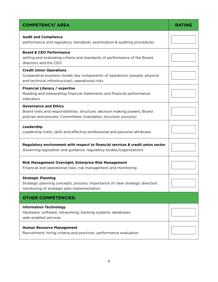| <b>COMPETENCY/ AREA</b>                                                                                                                                                       | <b>RATING</b> |
|-------------------------------------------------------------------------------------------------------------------------------------------------------------------------------|---------------|
| <b>Audit and Compliance</b><br>performance and regulatory standards; examination & auditing procedures                                                                        |               |
| <b>Board &amp; CEO Performance</b><br>setting and evaluating criteria and standards of performance of the Board,<br>directors and the CEO                                     |               |
| <b>Credit Union Operations</b><br>Cooperative business model; key components of operations (people, physical<br>and technical infrastructure), operational risks              |               |
| Financial Literacy / expertise<br>Reading and interpreting financial statements and financial performance<br>indicators                                                       |               |
| <b>Governance and Ethics</b><br>Board roles and responsibilities; structure; decision making powers; Board<br>policies and process; Committees (mandates; structure; process) |               |
| Leadership<br>Leadership traits; skills and effective professional and personal attributes                                                                                    |               |
| Regulatory environment with respect to financial services & credit union sector<br>Governing legislation and guidance; regulatory bodies/organizations                        |               |
| Risk Management Oversight; Enterprise Risk Management<br>Financial and operational risks; risk management and monitoring                                                      |               |
| <b>Strategic Planning</b><br>Strategic planning concepts; process; importance of clear strategic direction;<br>monitoring of strategic plan implementation                    |               |
| <b>OTHER COMPETENCIES:</b>                                                                                                                                                    |               |
| <b>Information Technology</b><br>Hardware; software; networking; banking systems; databases;<br>web-enabled services                                                          |               |
| <b>Human Resource Management</b><br>Recruitment; hiring criteria and practices; performance evaluation                                                                        |               |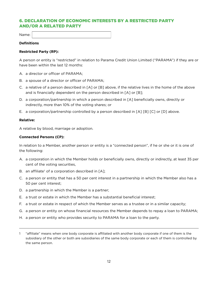# 6. DECLARATION OF ECONOMIC INTERESTS BY A RESTRICTED PARTY AND/OR A RELATED PARTY

Name:

#### **Definitions**

#### **Restricted Party (RP):**

A person or entity is "restricted" in relation to Parama Credit Union Limited ("PARAMA") if they are or have been within the last 12 months:

- A. a director or officer of PARAMA;
- B. a spouse of a director or officer of PARAMA;
- C. a relative of a person described in [A] or [B] above, if the relative lives in the home of the above and is financially dependent on the person described in [A] or [B];
- D. a corporation/partnership in which a person described in [A] beneficially owns, directly or indirectly, more than 10% of the voting shares; or
- E. a corporation/partnership controlled by a person described in [A] [B] [C] or [D] above.

#### **Relative:**

A relative by blood, marriage or adoption.

#### **Connected Persons (CP):**

In relation to a Member, another person or entity is a "connected person", if he or she or it is one of the following:

- A. a corporation in which the Member holds or beneficially owns, directly or indirectly, at least 35 per cent of the voting securities,
- B. an affiliate<sup>1</sup> of a corporation described in  $[A]$ ;
- C. a person or entity that has a 50 per cent interest in a partnership in which the Member also has a 50 per cent interest;
- D. a partnership in which the Member is a partner;
- E. a trust or estate in which the Member has a substantial beneficial interest;
- F. a trust or estate in respect of which the Member serves as a trustee or in a similar capacity;
- G. a person or entity on whose financial resources the Member depends to repay a loan to PARAMA;
- H. a person or entity who provides security to PARAMA for a loan to the party.

<sup>1 &</sup>quot;affiliate" means when one body corporate is affiliated with another body corporate if one of them is the subsidiary of the other or both are subsidiaries of the same body corporate or each of them is controlled by the same person.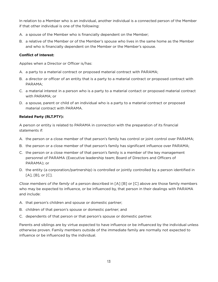In relation to a Member who is an individual, another individual is a connected person of the Member if that other individual is one of the following:

- A. a spouse of the Member who is financially dependent on the Member;
- B. a relative of the Member or of the Member's spouse who lives in the same home as the Member and who is financially dependent on the Member or the Member's spouse.

# **Conflict of Interest:**

Applies when a Director or Officer is/has:

- A. a party to a material contract or proposed material contract with PARAMA;
- B. a director or officer of an entity that is a party to a material contract or proposed contract with PARAMA;
- C. a material interest in a person who is a party to a material contact or proposed material contract with PARAMA; or
- D. a spouse, parent or child of an individual who is a party to a material contract or proposed material contract with PARAMA.

# **Related Party (RLT.PTY):**

A person or entity is related to PARAMA in connection with the preparation of its financial statements if:

- A. the person or a close member of that person's family has control or joint control over PARAMA;
- B. the person or a close member of that person's family has significant influence over PARAMA;
- C. the person or a close member of that person's family is a member of the key management personnel of PARAMA (Executive leadership team; Board of Directors and Officers of PARAMA); or
- D. the entity (a corporation/partnership) is controlled or jointly controlled by a person identified in [A], [B], or [C].

*Close members of the family* of a person described in [A] [B] or [C] above are those family members who may be expected to influence, or be influenced by, that person in their dealings with PARAMA and include:

- A. that person's children and spouse or domestic partner;
- B. children of that person's spouse or domestic partner; and
- C. dependents of that person or that person's spouse or domestic partner.

Parents and siblings are by virtue expected to have influence or be influenced by the individual unless otherwise proven. Family members outside of the immediate family are normally not expected to influence or be influenced by the individual.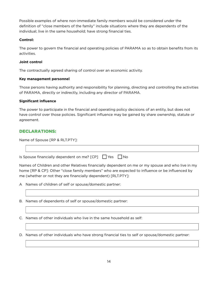Possible examples of where non-immediate family members would be considered under the definition of "close members of the family" include situations where they are dependents of the individual; live in the same household; have strong financial ties.

# **Control:**

The power to govern the financial and operating policies of PARAMA so as to obtain benefits from its activities.

# **Joint control**

The contractually agreed sharing of control over an economic activity.

# **Key management personnel**

Those persons having authority and responsibility for planning, directing and controlling the activities of PARAMA, directly or indirectly, including any director of PARAMA.

# **Significant influence**

The power to participate in the financial and operating policy decisions of an entity, but does not have control over those policies. Significant influence may be gained by share ownership, statute or agreement.

# DECLARATIONS:

Name of Spouse [RP & RLT.PTY]:

| Is Spouse financially dependent on me? [CP] □ Yes □ No |  |  |
|--------------------------------------------------------|--|--|

Names of Children and other Relatives financially dependent on me or my spouse and who live in my home [RP & CP]: Other "close family members" who are expected to influence or be influenced by me (whether or not they are financially dependent) [RLT.PTY]:

A Names of children of self or spouse/domestic partner:

B. Names of dependents of self or spouse/domestic partner:

C. Names of other individuals who live in the same household as self:

D. Names of other individuals who have strong financial ties to self or spouse/domestic partner: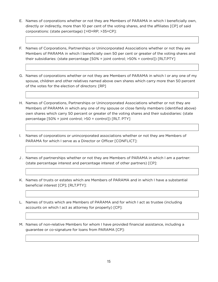- E. Names of corporations whether or not they are Members of PARAMA in which I beneficially own, directly or indirectly, more than 10 per cent of the voting shares, and the affiliates [CP] of said corporations: (state percentage) [>l0=RP; >35=CP]:
- F. Names of Corporations, Partnerships or Unincorporated Associations whether or not they are Members of PARAMA in which I beneficially own 50 per cent or greater of the voting shares and their subsidiaries: (state percentage [50% = joint control; >50% = control]) [RLT.PTY]
- G. Names of corporations whether or not they are Members of PARAMA in which I or any one of my spouse, children and other relatives named above own shares which carry more than 50 percent of the votes for the election of directors: [RP]
- H. Names of Corporations, Partnerships or Unincorporated Associations whether or not they are Members of PARAMA in which any one of my spouse or close family members (identified above) own shares which carry 50 percent or greater of the voting shares and their subsidiaries: (state percentage [50% = joint control; >50 = control]) [RLT. PTY]
- I. Names of corporations or unincorporated associations whether or not they are Members of PARAMA for which I serve as a Director or Officer [CONFLICT]:
- J . Names of partnerships whether or not they are Members of PARAMA in which I am a partner: (state percentage interest and percentage interest of other partners) [CP]:
- K. Names of trusts or estates which are Members of PARAMA and in which I have a substantial beneficial interest [CP]; [RLT.PTY]:
- L. Names of trusts which are Members of PARAMA and for which I act as trustee (including accounts on which I act as attorney for property) [CP]:
- M. Names of non-relative Members for whom I have provided financial assistance, including a guarantee or co-signature for loans from PARAMA [CP]: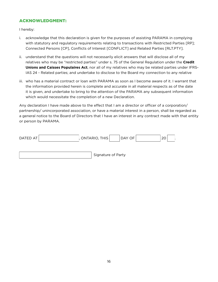# ACKNOWLEDGMENT:

I hereby:

- i. acknowledge that this declaration is given for the purposes of assisting PARAMA in complying with statutory and regulatory requirements relating to transactions with Restricted Parties [RP]; Connected Persons [CP], Conflicts of Interest [CONFLICT] and Related Parties [RLT.PTY].
- ii. understand that the questions will not necessarily elicit answers that will disclose all of my relatives who may be "restricted parties" under s. 75 of the General Regulation under the **Credit Unions and Caisses Populaires Act**, nor all of my relatives who may be related parties under IFRS-IAS 24 - Related parties; and undertake to disclose to the Board my connection to any relative
- iii. who has a material contract or loan with PARAMA as soon as I become aware of it. I warrant that the information provided herein is complete and accurate in all material respects as of the date it is given, and undertake to bring to the attention of the PARAMA any subsequent information which would necessitate the completion of a new Declaration.

Any declaration I have made above to the effect that I am a director or officer of a corporation/ partnership/ unincorporated association, or have a material interest in a person, shall be regarded as a general notice to the Board of Directors that I have an interest in any contract made with that entity or person by PARAMA.

| DATED AT | , ONTARIO, THIS    | DAY OF | 2C |  |
|----------|--------------------|--------|----|--|
|          |                    |        |    |  |
|          | Signature of Party |        |    |  |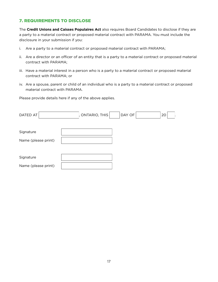# 7. REQUIREMENTS TO DISCLOSE

The **Credit Unions and Caisses Populaires Act** also requires Board Candidates to disclose if they are a party to a material contract or proposed material contract with PARAMA. You must include the disclosure in your submission if you:

- i. Are a party to a material contract or proposed material contract with PARAMA;
- ii. Are a director or an officer of an entity that is a party to a material contract or proposed material contract with PARAMA;
- iii. Have a material interest in a person who is a party to a material contract or proposed material contract with PARAMA; or
- iv. Are a spouse, parent or child of an individual who is a party to a material contract or proposed material contract with PARAMA.

Please provide details here if any of the above applies.

| DATED AT            | ONTARIO, THIS | DAY OF | 20 |
|---------------------|---------------|--------|----|
| Signature           |               |        |    |
| Name (please print) |               |        |    |
| Signature           |               |        |    |
| Name (please print) |               |        |    |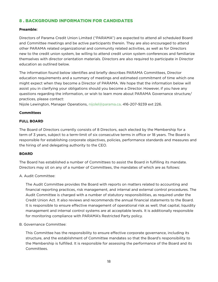# 8 . BACKGROUND INFORMATION FOR CANDIDATES

# **Preamble:**

Directors of Parama Credit Union Limited ("PARAMA") are expected to attend all scheduled Board and Committee meetings and be active participants therein. They are also encouraged to attend other PARAMA related organizational and community related activities, as well as for Directors new to the credit union system, be willing to attend credit union system conferences and familiarize themselves with director orientation materials. Directors are also required to participate in Director education as outlined below.

The information found below identifies and briefly describes PARAMA Committees, Director education requirements and a summary of meetings and estimated commitment of time which one might expect when they become a Director of PARAMA. We hope that the information below will assist you in clarifying your obligations should you become a Director. However, if you have any questions regarding the information, or wish to learn more about PARAMA Governance structure/ practices, please contact:

Nijole Lewington, Manager Operations, [nijolel@parama.ca](mailto:nijolel%40parama.ca?subject=). 416-207-9239 ext 226.

# **Committees**

# **FULL BOARD**

The Board of Directors currently consists of 8 Directors, each elected by the Membership for a term of 3 years, subject to a term-limit of six consecutive terms in office or 18 years. The Board is responsible for establishing corporate objectives, policies, performance standards and measures and the hiring of and delegating authority to the CEO.

#### **BOARD**

The Board has established a number of Committees to assist the Board in fulfilling its mandate. Directors may sit on any of a number of Committees, the mandates of which are as follows:

# A. Audit Committee:

The Audit Committee provides the Board with reports on matters related to accounting and financial reporting practices, risk management, and internal and external control procedures. The Audit Committee is charged with a number of statutory responsibilities, as required under the Credit Union Act. It also reviews and recommends the annual financial statements to the Board. It is responsible to ensure effective management of operational risk as well; that capital, liquidity management and internal control systems are at acceptable levels. It is additionally responsible for monitoring compliance with PARAMA's Restricted Party policy.

# B. Governance Committee:

This Committee has the responsibility to ensure effective corporate governance, including its structure, and the establishment of Committee mandates so that the Board's responsibility to the Membership is fulfilled. It is responsible for assessing the performance of the Board and its Committees.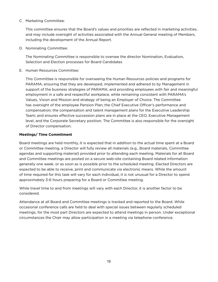# C. Marketing Committee:

This committee ensures that the Board's values and priorities are reflected in marketing activities, and may include oversight of activities associated with the Annual General meeting of Members, including the development of the Annual Report.

D. Nominating Committee:

The Nominating Committee is responsible to oversee the director Nomination, Evaluation, Selection and Election processes for Board Candidates

E. Human Resources Committee:

This Committee is responsible for overseeing the Human Resources policies and programs for PARAMA; ensuring that they are developed, implemented and adhered to by Management in support of the business strategies of PARAMA; and providing employees with fair and meaningful employment in a safe and respectful workplace, while remaining consistent with PARAMA's Values, Vision and Mission and strategy of being an Employer of Choice. The Committee has oversight of the employee Pension Plan; the Chief Executive Officer's performance and compensation; the compensation and talent management plans for the Executive Leadership Team; and ensures effective succession plans are in place at the CEO, Executive Management level, and the Corporate Secretary position. The Committee is also responsible for the oversight of Director compensation.

# **Meetings/ Time Commitment**

Board meetings are held monthly, It is expected that in addition to the actual time spent at a Board or Committee meeting, a Director will fully review all materials (e.g., Board materials, Committee agendas and supporting material) provided prior to attending each meeting. Materials for all Board and Committee meetings are posted on a secure web-site containing Board related information generally one week, or as soon as is possible prior to the scheduled meeting. Elected Directors are expected to be able to receive, print and communicate via electronic means. While the amount of time required for this task will vary for each individual, it is not unusual for a Director to spend approximately 3-6 hours preparing for a Board or Committee meeting.

While travel time to and from meetings will vary with each Director, it is another factor to be considered.

Attendance at all Board and Committee meetings is tracked and reported to the Board. While occasional conference calls are held to deal with special issues between regularly scheduled meetings, for the most part Directors are expected to attend meetings in person. Under exceptional circumstances the Chair may allow participation in a meeting via telephone conference.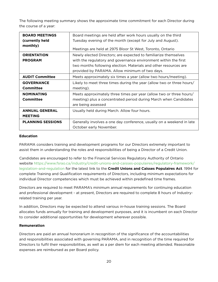The following meeting summary shows the approximate time commitment for each Director during the course of a year:

| <b>BOARD MEETINGS</b>    | Board meetings are held after work hours usually on the third         |  |  |
|--------------------------|-----------------------------------------------------------------------|--|--|
| (currently held          | Tuesday evening of the month (except for July and August).            |  |  |
| monthly)                 | Meetings are held at 2975 Bloor St West, Toronto, Ontario             |  |  |
| <b>ORIENTATION</b>       | Newly elected Directors; are expected to familiarize themselves       |  |  |
| <b>PROGRAM</b>           | with the regulatory and governance environment within the first       |  |  |
|                          | two months following election. Materials and other resources are      |  |  |
|                          | provided by PARAMA. Allow minimum of two days.                        |  |  |
| <b>AUDIT Committee</b>   | Meets approximately six times a year (allow two hours/meeting).       |  |  |
| <b>GOVERNANCE</b>        | Likely to meet three times during the year (allow two or three hours/ |  |  |
| <b>Committee</b>         | meeting).                                                             |  |  |
| <b>NOMINATING</b>        | Meets approximately three times per year (allow two or three hours/   |  |  |
| <b>Committee</b>         | meeting) plus a concentrated period during March when Candidates      |  |  |
|                          | are being assessed                                                    |  |  |
| <b>ANNUAL GENERAL</b>    | Usually held during March. Allow four hours.                          |  |  |
| <b>MEETING</b>           |                                                                       |  |  |
| <b>PLANNING SESSIONS</b> | Generally involves a one day conference, usually on a weekend in late |  |  |
|                          | October early November.                                               |  |  |

# **Education**

PARAMA considers training and development programs for our Directors extremely important to assist them in understanding the roles and responsibilities of being a Director of a Credit Union.

Candidates are encouraged to refer to the Financial Services Regulatory Authority of Ontario website [https://www.fsrao.ca/industry/credit-unions-and-caisses-populaires/regulatory-framework/](https://www.fsrao.ca/industry/credit-unions-and-caisses-populaires/regulatory-framework/legislation-and-regulation) [legislation-and-regulation](https://www.fsrao.ca/industry/credit-unions-and-caisses-populaires/regulatory-framework/legislation-and-regulation) for the latest link to the **Credit Unions and Caisses Populaires Act**. 1994 for complete Training and Qualification requirements of Directors, including minimum expectations for individual Director competencies which must be achieved within predefined time frames.

Directors are required to meet PARAMA's minimum annual requirements for continuing education and professional development - at present, Directors are required to complete 8 hours of Industryrelated training per year.

In addition, Directors may be expected to attend various in-house training sessions. The Board allocates funds annually for training and development purposes, and it is incumbent on each Director to consider additional opportunities for development wherever possible.

# **Remuneration**

Directors are paid an annual honorarium in recognition of the significance of the accountabilities and responsibilities associated with governing PARAMA, and in recognition of the time required for Directors to fulfil their responsibilities, as well as a per diem for each meeting attended. Reasonable expenses are reimbursed as per Board policy.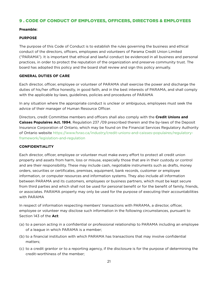# 9 . CODE OF CONDUCT OF EMPLOYEES, OFFICERS, DIRECTORS & EMPLOYEES

#### **Preamble:**

# **PURPOSE**

The purpose of this Code of Conduct is to establish the rules governing the business and ethical conduct of the directors, officers, employees and volunteers of Parama Credit Union Limited ("PARAMA"). It is important that ethical and lawful conduct be evidenced in all business and personal practices, in order to protect the reputation of the organization and preserve community trust. The board has adopted this policy and the board shall review and sign this policy annually.

#### **GENERAL DUTIES OF CARE**

Each director, officer, employee or volunteer of PARAMA shall exercise the power and discharge the duties of his/her office honestly, in good faith, and in the best interests of PARAMA, and shall comply with the applicable by-laws, guidelines, policies and procedures of PARAMA

In any situation where the appropriate conduct is unclear or ambiguous, employees must seek the advice of their manager of Human Resource Officer.

Directors, credit Committee members and officers shall also comply with the **Credit Unions and Caisses Populaires Act. 1994**, Regulation 237 /09 prescribed therein and the by-laws of the Deposit Insurance Corporation of Ontario, which may be found on the Financial Services Regulatory Authority of Ontario website [https://www.fsrao.ca/industry/credit-unions-and-caisses-populaires/regulatory](https://www.fsrao.ca/industry/credit-unions-and-caisses-populaires/regulatory-framework/legislation-and-regulation)[framework/legislation-and-regulation](https://www.fsrao.ca/industry/credit-unions-and-caisses-populaires/regulatory-framework/legislation-and-regulation)

#### **CONFIDENTIALITY**

Each director, officer, employee or volunteer must make every effort to protect all credit union property and assets from harm, loss or misuse, especially those that are in their custody or control and are their responsibility. These may include cash, negotiable instruments such as drafts, money orders, securities or certificates, premises, equipment, bank records, customer or employee information, or computer resources and information systems. They also include all information between PARAMA and its customers, employees or business partners, which must be kept secure from third parties and which shall not be used for personal benefit or for the benefit of family, friends, or associates. PARAMA property may only be used for the purpose of executing their accountabilities with PARAMA

In respect of information respecting members' transactions with PARAMA, a director, officer, employee or volunteer may disclose such information in the following circumstances, pursuant to Section 143 of the **Act**:

- (a) to a person acting in a confidential or professional relationship to PARAMA including an employee of a league in which PARAMA is a member;
- (b) to a financial institution with which PARAMA has transactions that may involve confidential matters;
- (c) to a credit grantor or to a reporting agency, if the disclosure is for the purpose of determining the credit-worthiness of the member;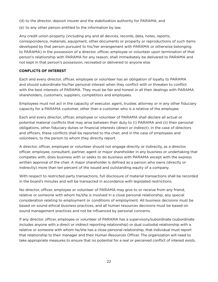- (d) to the director, deposit insurer and the stabilization authority for PARAMA; and
- (e) to any other person entitled to the information by law.

Any credit union property (including any and all devices, records, data, notes, reports, correspondence, materials, equipment, other documents or property or reproductions of such items developed by that person pursuant to his/her arrangement with PARAMA or otherwise belonging to PARAMA) in the possession of a director, officer, employee or volunteer upon termination of that person's relationship with PARAMA for any reason, shall immediately be delivered to PARAMA and not kept in that person's possession, recreated or delivered to anyone else.

# **CONFLICTS OF INTEREST**

Each and every director, officer, employee or volunteer has an obligation of loyalty to PARAMA and should subordinate his/her personal interest when they conflict with or threaten to conflict with the best interests of PARAMA. They must be fair and honest in all their dealings with PARAMA shareholders, customers, suppliers, competitors and employees.

Employees must not act in the capacity of executor, agent, trustee, attorney or in any other fiduciary capacity for a PARAMA customer, other than a customer who is a relative of the employee.

Each and every director, officer, employee or volunteer of PARAMA shall declare all actual or potential material conflicts that may arise between their duty to (i) PARAMA and (ii) their personal obligations, other fiduciary duties or financial interests (direct or indirect). In the case of directors and officers, these conflicts shall be reported to the chair, and in the case of employees and volunteers, to the person to whom they directly report.

A director, officer, employee or volunteer should not engage directly or indirectly, as a director, officer, employee, consultant, partner, agent or major shareholder in any business or undertaking that competes with, does business with or seeks to do business with PARAMA except with the express written approval of the chair. A major shareholder is defined as a person who owns (directly or indirectly) more than ten percent of the issued and outstanding equity of a company.

With respect to restricted party transactions, full disclosure of material transactions shall be recorded in the board's minutes and will be transacted in accordance with legislated restrictions.

No director, officer, employee or volunteer of PARAMA may give to or receive from any friend, relative or someone with whom he/she is involved in a close personal relationship, any special consideration relating to employment or conditions of employment. All business decisions must be based on sound ethical business practices, and all human resources decisions must be based on sound management practices and not be influenced by personal concerns.

If any director, officer, employee or volunteer of PARAMA has a supervisory/subordinate (subordinate includes anyone with a direct or indirect reporting relationship) or dual custodial relationship with a relative or someone with whom he/she has a close personal relationship, that individual must report that relationship to their manager and their Human Resources Officer. The organization will need to take appropriate measures to ensure that no potential for a real or perceived conflict of interest exists.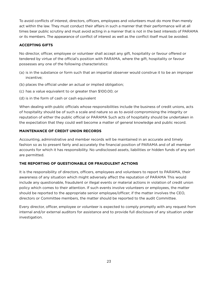To avoid conflicts of interest, directors, officers, employees and volunteers must do more than merely act within the law. They must conduct their affairs in such a manner that their performance will at all times bear public scrutiny and must avoid acting in a manner that is not in the best interests of PARAMA or its members. The appearance of conflict of interest as well as the conflict itself must be avoided.

# **ACCEPTING GIFTS**

No director, officer, employee or volunteer shall accept any gift, hospitality or favour offered or tendered by virtue of the official's position with PARAMA, where the gift, hospitality or favour possesses any one of the following characteristics:

- (a) is in the substance or form such that an impartial observer would construe it to be an improper incentive;
- (b) places the official under an actual or implied obligation;
- (c) has a value equivalent to or greater than \$100.00; or
- (d) is in the form of cash or cash equivalent

When dealing with public officials whose responsibilities include the business of credit unions, acts of hospitality should be of such a scale and nature so as to avoid compromising the integrity or reputation of either the public official or PARAMA Such acts of hospitality should be undertaken in the expectation that they could well become a matter of general knowledge and public record.

# **MAINTENANCE OF CREDIT UNION RECORDS**

Accounting, administrative and member records will be maintained in an accurate and timely fashion so as to present fairly and accurately the financial position of PARAMA and of all member accounts for which it has responsibility. No undisclosed assets, liabilities or hidden funds of any sort are permitted.

# **THE REPORTING OF QUESTIONABLE OR FRAUDULENT ACTIONS**

It is the responsibility of directors, officers, employees and volunteers to report to PARAMA, their awareness of any situation which might adversely affect the reputation of PARAMA This would include any questionable, fraudulent or illegal events or material actions in violation of credit union policy which comes to their attention. If such events involve volunteers or employees, the matter should be reported to the appropriate senior employee/officer; if the matter involves the CEO, directors or Committee members, the matter should be reported to the audit Committee.

Every director, officer, employee or volunteer is expected to comply promptly with any request from internal and/or external auditors for assistance and to provide full disclosure of any situation under investigation.